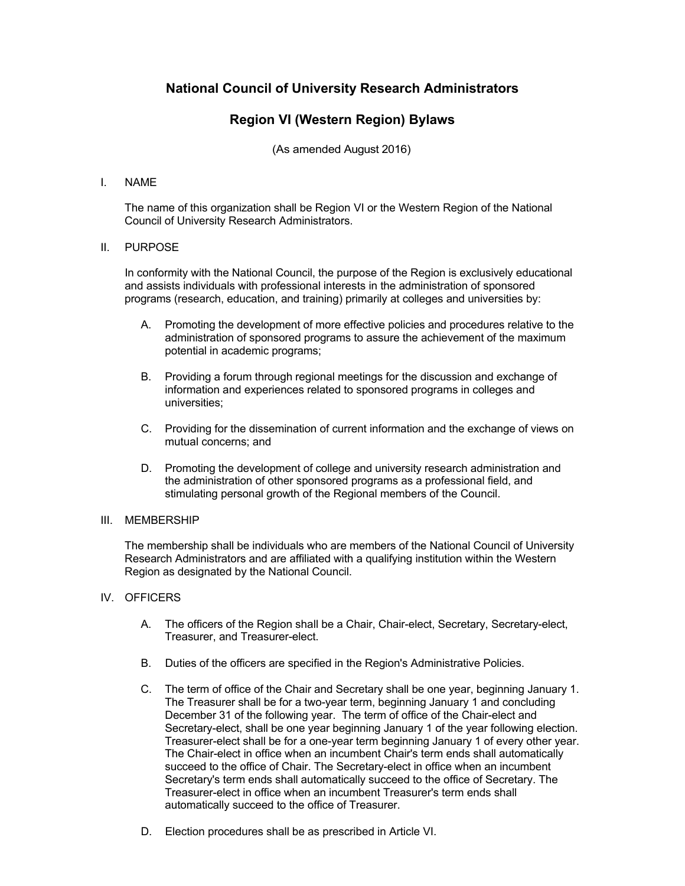# **National Council of University Research Administrators**

# **Region VI (Western Region) Bylaws**

(As amended August 2016)

### I. NAME

The name of this organization shall be Region VI or the Western Region of the National Council of University Research Administrators.

### II. PURPOSE

In conformity with the National Council, the purpose of the Region is exclusively educational and assists individuals with professional interests in the administration of sponsored programs (research, education, and training) primarily at colleges and universities by:

- A. Promoting the development of more effective policies and procedures relative to the administration of sponsored programs to assure the achievement of the maximum potential in academic programs;
- B. Providing a forum through regional meetings for the discussion and exchange of information and experiences related to sponsored programs in colleges and universities;
- C. Providing for the dissemination of current information and the exchange of views on mutual concerns; and
- D. Promoting the development of college and university research administration and the administration of other sponsored programs as a professional field, and stimulating personal growth of the Regional members of the Council.

#### III. MEMBERSHIP

The membership shall be individuals who are members of the National Council of University Research Administrators and are affiliated with a qualifying institution within the Western Region as designated by the National Council.

# IV. OFFICERS

- A. The officers of the Region shall be a Chair, Chair-elect, Secretary, Secretary-elect, Treasurer, and Treasurer-elect.
- B. Duties of the officers are specified in the Region's Administrative Policies.
- C. The term of office of the Chair and Secretary shall be one year, beginning January 1. The Treasurer shall be for a two-year term, beginning January 1 and concluding December 31 of the following year. The term of office of the Chair-elect and Secretary-elect, shall be one year beginning January 1 of the year following election. Treasurer-elect shall be for a one-year term beginning January 1 of every other year. The Chair-elect in office when an incumbent Chair's term ends shall automatically succeed to the office of Chair. The Secretary-elect in office when an incumbent Secretary's term ends shall automatically succeed to the office of Secretary. The Treasurer-elect in office when an incumbent Treasurer's term ends shall automatically succeed to the office of Treasurer.
- D. Election procedures shall be as prescribed in Article VI.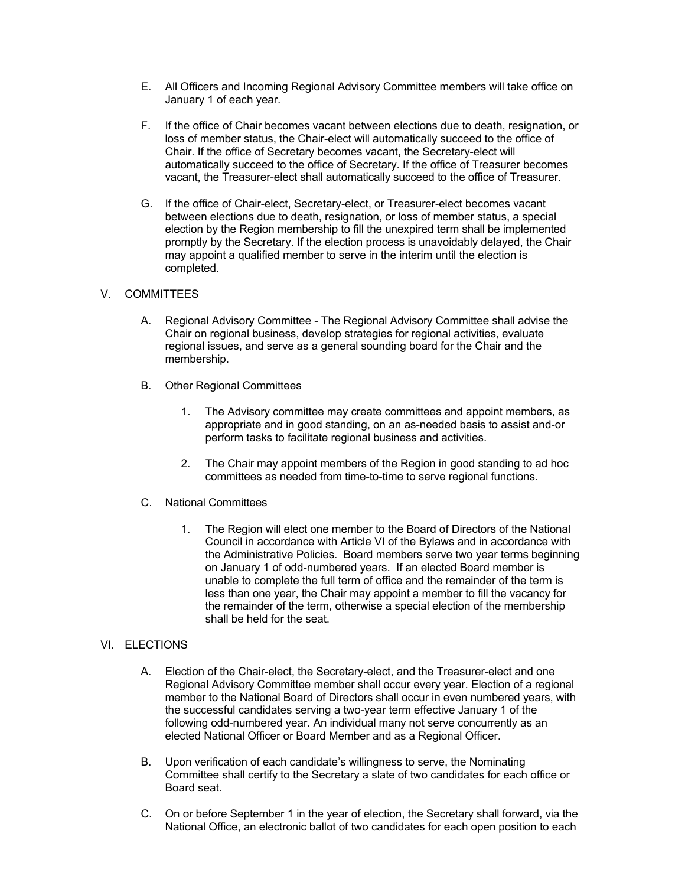- E. All Officers and Incoming Regional Advisory Committee members will take office on January 1 of each year.
- F. If the office of Chair becomes vacant between elections due to death, resignation, or loss of member status, the Chair-elect will automatically succeed to the office of Chair. If the office of Secretary becomes vacant, the Secretary-elect will automatically succeed to the office of Secretary. If the office of Treasurer becomes vacant, the Treasurer-elect shall automatically succeed to the office of Treasurer.
- G. If the office of Chair-elect, Secretary-elect, or Treasurer-elect becomes vacant between elections due to death, resignation, or loss of member status, a special election by the Region membership to fill the unexpired term shall be implemented promptly by the Secretary. If the election process is unavoidably delayed, the Chair may appoint a qualified member to serve in the interim until the election is completed.

# V. COMMITTEES

- A. Regional Advisory Committee The Regional Advisory Committee shall advise the Chair on regional business, develop strategies for regional activities, evaluate regional issues, and serve as a general sounding board for the Chair and the membership.
- B. Other Regional Committees
	- 1. The Advisory committee may create committees and appoint members, as appropriate and in good standing, on an as-needed basis to assist and-or perform tasks to facilitate regional business and activities.
	- 2. The Chair may appoint members of the Region in good standing to ad hoc committees as needed from time-to-time to serve regional functions.
- C. National Committees
	- 1. The Region will elect one member to the Board of Directors of the National Council in accordance with Article VI of the Bylaws and in accordance with the Administrative Policies. Board members serve two year terms beginning on January 1 of odd-numbered years. If an elected Board member is unable to complete the full term of office and the remainder of the term is less than one year, the Chair may appoint a member to fill the vacancy for the remainder of the term, otherwise a special election of the membership shall be held for the seat.

# VI. ELECTIONS

- A. Election of the Chair-elect, the Secretary-elect, and the Treasurer-elect and one Regional Advisory Committee member shall occur every year. Election of a regional member to the National Board of Directors shall occur in even numbered years, with the successful candidates serving a two-year term effective January 1 of the following odd-numbered year. An individual many not serve concurrently as an elected National Officer or Board Member and as a Regional Officer.
- B. Upon verification of each candidate's willingness to serve, the Nominating Committee shall certify to the Secretary a slate of two candidates for each office or Board seat.
- C. On or before September 1 in the year of election, the Secretary shall forward, via the National Office, an electronic ballot of two candidates for each open position to each